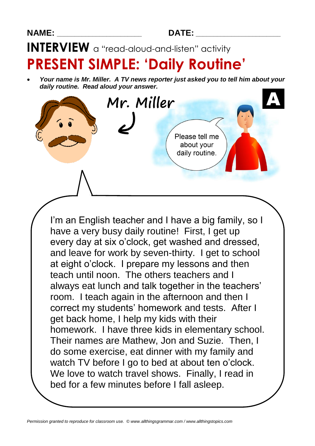## **INTERVIEW** <sup>a</sup> "read-aloud-and-listen" activity

# **PRESENT SIMPLE: 'Daily Routine'**

 *Your name is Mr. Miller. A TV news reporter just asked you to tell him about your daily routine. Read aloud your answer.*

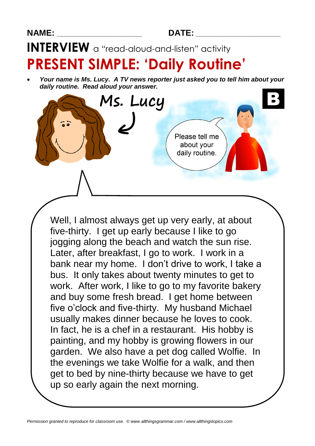## **INTERVIEW** a "read-aloud-and-listen" activity

# **PRESENT SIMPLE: 'Daily Routine'**

 *Your name is Ms. Lucy. A TV news reporter just asked you to tell him about your daily routine. Read aloud your answer.*



Well, I almost always get up very early, at about five-thirty. I get up early because I like to go jogging along the beach and watch the sun rise. Later, after breakfast, I go to work. I work in a bank near my home. I don't drive to work, I take a bus. It only takes about twenty minutes to get to work. After work, I like to go to my favorite bakery and buy some fresh bread. I get home between five o'clock and five-thirty. My husband Michael usually makes dinner because he loves to cook. In fact, he is a chef in a restaurant. His hobby is painting, and my hobby is growing flowers in our garden. We also have a pet dog called Wolfie. In the evenings we take Wolfie for a walk, and then get to bed by nine-thirty because we have to get up so early again the next morning.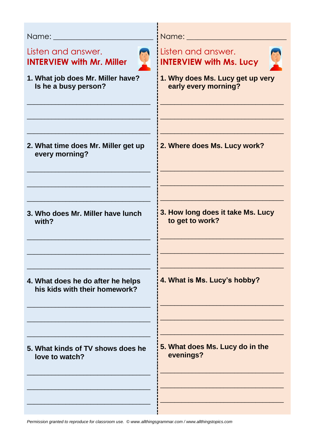| Name: Name                                                   | Name: __________                                         |
|--------------------------------------------------------------|----------------------------------------------------------|
| Listen and answer.<br>P.<br><b>INTERVIEW with Mr. Miller</b> | Listen and answer.<br><b>INTERVIEW with Ms. Lucy</b>     |
| 1. What job does Mr. Miller have?<br>Is he a busy person?    | 1. Why does Ms. Lucy get up very<br>early every morning? |
|                                                              | 2. Where does Ms. Lucy work?                             |
| 2. What time does Mr. Miller get up<br>every morning?        |                                                          |
| 3. Who does Mr. Miller have lunch                            | 3. How long does it take Ms. Lucy                        |
| with?                                                        | to get to work?                                          |
| 4. What does he do after he helps                            | 4. What is Ms. Lucy's hobby?                             |
| his kids with their homework?                                |                                                          |
|                                                              | 5. What does Ms. Lucy do in the                          |
| 5. What kinds of TV shows does he<br>love to watch?          | evenings?                                                |
|                                                              |                                                          |

*Permission granted to reproduce for classroom use. © www.allthingsgrammar.com / www.allthingstopics.com*